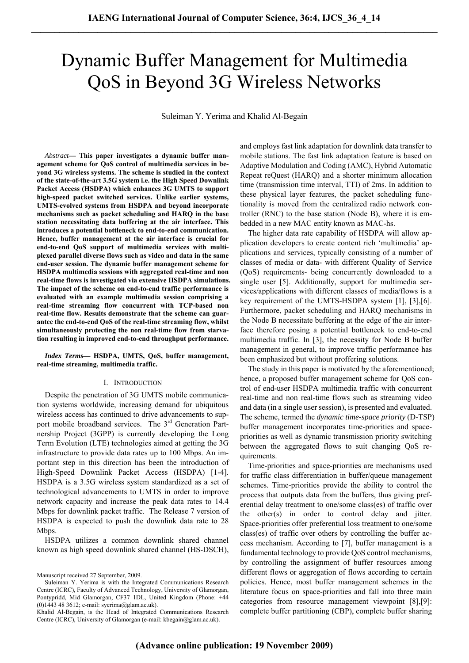# Dynamic Buffer Management for Multimedia QoS in Beyond 3G Wireless Networks

Suleiman Y. Yerima and Khalid Al-Begain

*Abstract***— This paper investigates a dynamic buffer management scheme for QoS control of multimedia services in beyond 3G wireless systems. The scheme is studied in the context of the state-of-the-art 3.5G system i.e. the High Speed Downlink Packet Access (HSDPA) which enhances 3G UMTS to support high-speed packet switched services. Unlike earlier systems, UMTS-evolved systems from HSDPA and beyond incorporate mechanisms such as packet scheduling and HARQ in the base station necessitating data buffering at the air interface. This introduces a potential bottleneck to end-to-end communication. Hence, buffer management at the air interface is crucial for end-to-end QoS support of multimedia services with multiplexed parallel diverse flows such as video and data in the same end-user session. The dynamic buffer management scheme for HSDPA multimedia sessions with aggregated real-time and non real-time flows is investigated via extensive HSDPA simulations. The impact of the scheme on end-to-end traffic performance is evaluated with an example multimedia session comprising a real-time streaming flow concurrent with TCP-based non real-time flow. Results demonstrate that the scheme can guarantee the end-to-end QoS of the real-time streaming flow, whilst simultaneously protecting the non real-time flow from starvation resulting in improved end-to-end throughput performance.** 

*Index Terms***— HSDPA, UMTS, QoS, buffer management, real-time streaming, multimedia traffic.** 

### I. INTRODUCTION

Despite the penetration of 3G UMTS mobile communication systems worldwide, increasing demand for ubiquitous wireless access has continued to drive advancements to support mobile broadband services. The 3<sup>rd</sup> Generation Partnership Project (3GPP) is currently developing the Long Term Evolution (LTE) technologies aimed at getting the 3G infrastructure to provide data rates up to 100 Mbps. An important step in this direction has been the introduction of High-Speed Downlink Packet Access (HSDPA) [1-4]. HSDPA is a 3.5G wireless system standardized as a set of technological advancements to UMTS in order to improve network capacity and increase the peak data rates to 14.4 Mbps for downlink packet traffic. The Release 7 version of HSDPA is expected to push the downlink data rate to 28 Mbps.

HSDPA utilizes a common downlink shared channel known as high speed downlink shared channel (HS-DSCH), and employs fast link adaptation for downlink data transfer to mobile stations. The fast link adaptation feature is based on Adaptive Modulation and Coding (AMC), Hybrid Automatic Repeat reQuest (HARQ) and a shorter minimum allocation time (transmission time interval, TTI) of 2ms. In addition to these physical layer features, the packet scheduling functionality is moved from the centralized radio network controller (RNC) to the base station (Node B), where it is embedded in a new MAC entity known as MAC-hs.

The higher data rate capability of HSDPA will allow application developers to create content rich 'multimedia' applications and services, typically consisting of a number of classes of media or data- with different Quality of Service (QoS) requirements- being concurrently downloaded to a single user [5]. Additionally, support for multimedia services/applications with different classes of media/flows is a key requirement of the UMTS-HSDPA system [1], [3],[6]. Furthermore, packet scheduling and HARQ mechanisms in the Node B necessitate buffering at the edge of the air interface therefore posing a potential bottleneck to end-to-end multimedia traffic. In [3], the necessity for Node B buffer management in general, to improve traffic performance has been emphasized but without proffering solutions.

The study in this paper is motivated by the aforementioned; hence, a proposed buffer management scheme for QoS control of end-user HSDPA multimedia traffic with concurrent real-time and non real-time flows such as streaming video and data (in a single user session), is presented and evaluated. The scheme, termed the *dynamic time-space priority* (D-TSP) buffer management incorporates time-priorities and spacepriorities as well as dynamic transmission priority switching between the aggregated flows to suit changing QoS requirements.

Time-priorities and space-priorities are mechanisms used for traffic class differentiation in buffer/queue management schemes. Time-priorities provide the ability to control the process that outputs data from the buffers, thus giving preferential delay treatment to one/some class(es) of traffic over the other(s) in order to control delay and jitter. Space-priorities offer preferential loss treatment to one/some class(es) of traffic over others by controlling the buffer access mechanism. According to [7], buffer management is a fundamental technology to provide QoS control mechanisms, by controlling the assignment of buffer resources among different flows or aggregation of flows according to certain policies. Hence, most buffer management schemes in the literature focus on space-priorities and fall into three main categories from resource management viewpoint [8],[9]: complete buffer partitioning (CBP), complete buffer sharing

Manuscript received 27 September, 2009.

Suleiman Y. Yerima is with the Integrated Communications Research Centre (ICRC), Faculty of Advanced Technology, University of Glamorgan, Pontypridd, Mid Glamorgan, CF37 1DL, United Kingdom (Phone: +44 (0)1443 48 3612; e-mail: syerima@glam.ac.uk).

Khalid Al-Begain, is the Head of Integrated Communications Research Centre (ICRC), University of Glamorgan (e-mail: kbegain@glam.ac.uk).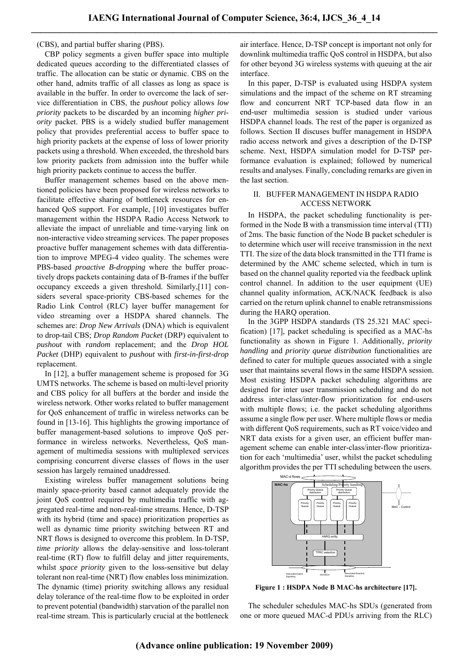(CBS), and partial buffer sharing (PBS).

CBP policy segments a given buffer space into multiple dedicated queues according to the differentiated classes of traffic. The allocation can be static or dynamic. CBS on the other hand, admits traffic of all classes as long as space is available in the buffer. In order to overcome the lack of service differentiation in CBS, the *pushout* policy allows *low priority* packets to be discarded by an incoming *higher priority* packet. PBS is a widely studied buffer management policy that provides preferential access to buffer space to high priority packets at the expense of loss of lower priority packets using a threshold. When exceeded, the threshold bars low priority packets from admission into the buffer while high priority packets continue to access the buffer.

Buffer management schemes based on the above mentioned policies have been proposed for wireless networks to facilitate effective sharing of bottleneck resources for enhanced QoS support. For example, [10] investigates buffer management within the HSDPA Radio Access Network to alleviate the impact of unreliable and time-varying link on non-interactive video streaming services. The paper proposes proactive buffer management schemes with data differentiation to improve MPEG-4 video quality. The schemes were PBS-based *proactive B-dropping* where the buffer proactively drops packets containing data of B-frames if the buffer occupancy exceeds a given threshold. Similarly,[11] considers several space-priority CBS-based schemes for the Radio Link Control (RLC) layer buffer management for video streaming over a HSDPA shared channels. The schemes are: *Drop New Arrivals* (DNA) which is equivalent to drop-tail CBS; *Drop Random Packet* (DRP) equivalent to *pushout* with *random* replacement; and the *Drop HOL Packet* (DHP) equivalent to *pushout* with *first-in-first-drop* replacement.

In [12], a buffer management scheme is proposed for 3G UMTS networks. The scheme is based on multi-level priority and CBS policy for all buffers at the border and inside the wireless network. Other works related to buffer management for QoS enhancement of traffic in wireless networks can be found in [13-16]. This highlights the growing importance of buffer management-based solutions to improve QoS performance in wireless networks. Nevertheless, QoS management of multimedia sessions with multiplexed services comprising concurrent diverse classes of flows in the user session has largely remained unaddressed.

Existing wireless buffer management solutions being mainly space-priority based cannot adequately provide the joint QoS control required by multimedia traffic with aggregated real-time and non-real-time streams. Hence, D-TSP with its hybrid (time and space) prioritization properties as well as dynamic time priority switching between RT and NRT flows is designed to overcome this problem. In D-TSP, *time priority* allows the delay-sensitive and loss-tolerant real-time (RT) flow to fulfill delay and jitter requirements, whilst *space priority* given to the loss-sensitive but delay tolerant non real-time (NRT) flow enables loss minimization. The dynamic (time) priority switching allows any residual delay tolerance of the real-time flow to be exploited in order to prevent potential (bandwidth) starvation of the parallel non real-time stream. This is particularly crucial at the bottleneck air interface. Hence, D-TSP concept is important not only for downlink multimedia traffic QoS control in HSDPA, but also for other beyond 3G wireless systems with queuing at the air interface.

In this paper, D-TSP is evaluated using HSDPA system simulations and the impact of the scheme on RT streaming flow and concurrent NRT TCP-based data flow in an end-user multimedia session is studied under various HSDPA channel loads. The rest of the paper is organized as follows. Section II discuses buffer management in HSDPA radio access network and gives a description of the D-TSP scheme. Next, HSDPA simulation model for D-TSP performance evaluation is explained; followed by numerical results and analyses. Finally, concluding remarks are given in the last section.

# II. BUFFER MANAGEMENT IN HSDPA RADIO ACCESS NETWORK

In HSDPA, the packet scheduling functionality is performed in the Node B with a transmission time interval (TTI) of 2ms. The basic function of the Node B packet scheduler is to determine which user will receive transmission in the next TTI. The size of the data block transmitted in the TTI frame is determined by the AMC scheme selected, which in turn is based on the channel quality reported via the feedback uplink control channel. In addition to the user equipment (UE) channel quality information, ACK/NACK feedback is also carried on the return uplink channel to enable retransmissions during the HARQ operation.

In the 3GPP HSDPA standards (TS 25.321 MAC specification) [17], packet scheduling is specified as a MAC-hs functionality as shown in Figure 1. Additionally, *priority handling* and *priority queue distribution* functionalities are defined to cater for multiple queues associated with a single user that maintains several flows in the same HSDPA session. Most existing HSDPA packet scheduling algorithms are designed for inter user transmission scheduling and do not address inter-class/inter-flow prioritization for end-users with multiple flows; i.e. the packet scheduling algorithms assume a single flow per user. Where multiple flows or media with different QoS requirements, such as RT voice/video and NRT data exists for a given user, an efficient buffer management scheme can enable inter-class/inter-flow prioritization for each 'multimedia' user, whilst the packet scheduling algorithm provides the per TTI scheduling between the users.



**Figure 1 : HSDPA Node B MAC-hs architecture [17].** 

The scheduler schedules MAC-hs SDUs (generated from one or more queued MAC-d PDUs arriving from the RLC)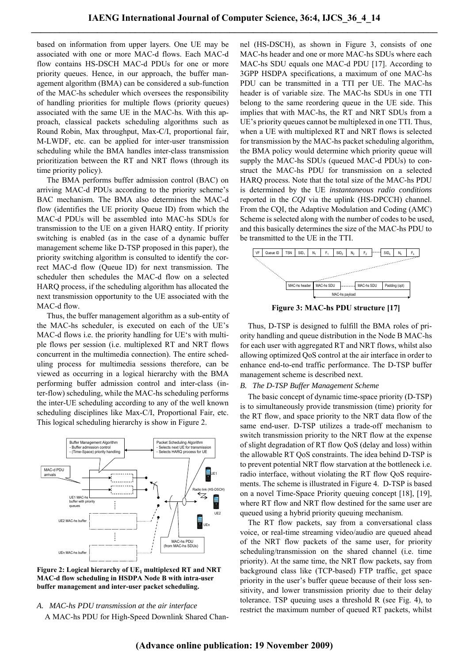based on information from upper layers. One UE may be associated with one or more MAC-d flows. Each MAC-d flow contains HS-DSCH MAC-d PDUs for one or more priority queues. Hence, in our approach, the buffer management algorithm (BMA) can be considered a sub-function of the MAC-hs scheduler which oversees the responsibility of handling priorities for multiple flows (priority queues) associated with the same UE in the MAC-hs. With this approach, classical packets scheduling algorithms such as Round Robin, Max throughput, Max-C/I, proportional fair, M-LWDF, etc. can be applied for inter-user transmission scheduling while the BMA handles inter-class transmission prioritization between the RT and NRT flows (through its time priority policy).

 The BMA performs buffer admission control (BAC) on arriving MAC-d PDUs according to the priority scheme's BAC mechanism. The BMA also determines the MAC-d flow (identifies the UE priority Queue ID) from which the MAC-d PDUs will be assembled into MAC-hs SDUs for transmission to the UE on a given HARQ entity. If priority switching is enabled (as in the case of a dynamic buffer management scheme like D-TSP proposed in this paper), the priority switching algorithm is consulted to identify the correct MAC-d flow (Queue ID) for next transmission. The scheduler then schedules the MAC-d flow on a selected HARQ process, if the scheduling algorithm has allocated the next transmission opportunity to the UE associated with the MAC-d flow.

 Thus, the buffer management algorithm as a sub-entity of the MAC-hs scheduler, is executed on each of the UE's MAC-d flows i.e. the priority handling for UE's with multiple flows per session (i.e. multiplexed RT and NRT flows concurrent in the multimedia connection). The entire scheduling process for multimedia sessions therefore, can be viewed as occurring in a logical hierarchy with the BMA performing buffer admission control and inter-class (inter-flow) scheduling, while the MAC-hs scheduling performs the inter-UE scheduling according to any of the well known scheduling disciplines like Max-C/I, Proportional Fair, etc. This logical scheduling hierarchy is show in Figure 2.



Figure 2: Logical hierarchy of UE<sub>1</sub> multiplexed RT and NRT **MAC-d flow scheduling in HSDPA Node B with intra-user buffer management and inter-user packet scheduling.** 

*A. MAC-hs PDU transmission at the air interface*  A MAC-hs PDU for High-Speed Downlink Shared Channel (HS-DSCH), as shown in Figure 3, consists of one MAC-hs header and one or more MAC-hs SDUs where each MAC-hs SDU equals one MAC-d PDU [17]. According to 3GPP HSDPA specifications, a maximum of one MAC-hs PDU can be transmitted in a TTI per UE. The MAC-hs header is of variable size. The MAC-hs SDUs in one TTI belong to the same reordering queue in the UE side. This implies that with MAC-hs, the RT and NRT SDUs from a UE's priority queues cannot be multiplexed in one TTI. Thus, when a UE with multiplexed RT and NRT flows is selected for transmission by the MAC-hs packet scheduling algorithm, the BMA policy would determine which priority queue will supply the MAC-hs SDUs (queued MAC-d PDUs) to construct the MAC-hs PDU for transmission on a selected HARQ process. Note that the total size of the MAC-hs PDU is determined by the UE *instantaneous radio conditions* reported in the *CQI* via the uplink (HS-DPCCH) channel. From the CQI, the Adaptive Modulation and Coding (AMC) Scheme is selected along with the number of codes to be used, and this basically determines the size of the MAC-hs PDU to be transmitted to the UE in the TTI.



**Figure 3: MAC-hs PDU structure [17]** 

Thus, D-TSP is designed to fulfill the BMA roles of priority handling and queue distribution in the Node B MAC-hs for each user with aggregated RT and NRT flows, whilst also allowing optimized QoS control at the air interface in order to enhance end-to-end traffic performance. The D-TSP buffer management scheme is described next.

# *B. The D-TSP Buffer Management Scheme*

The basic concept of dynamic time-space priority (D-TSP) is to simultaneously provide transmission (time) priority for the RT flow, and space priority to the NRT data flow of the same end-user. D-TSP utilizes a trade-off mechanism to switch transmission priority to the NRT flow at the expense of slight degradation of RT flow QoS (delay and loss) within the allowable RT QoS constraints. The idea behind D-TSP is to prevent potential NRT flow starvation at the bottleneck i.e. radio interface, without violating the RT flow QoS requirements. The scheme is illustrated in Figure 4. D-TSP is based on a novel Time-Space Priority queuing concept [18], [19], where RT flow and NRT flow destined for the same user are queued using a hybrid priority queuing mechanism.

The RT flow packets, say from a conversational class voice, or real-time streaming video/audio are queued ahead of the NRT flow packets of the same user, for priority scheduling/transmission on the shared channel (i.e. time priority). At the same time, the NRT flow packets, say from background class like (TCP-based) FTP traffic, get space priority in the user's buffer queue because of their loss sensitivity, and lower transmission priority due to their delay tolerance. TSP queuing uses a threshold R (see Fig. 4), to restrict the maximum number of queued RT packets, whilst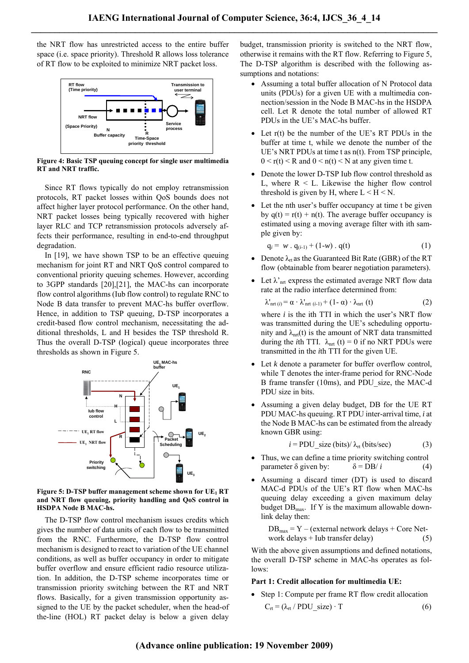the NRT flow has unrestricted access to the entire buffer space (i.e. space priority). Threshold R allows loss tolerance of RT flow to be exploited to minimize NRT packet loss.



**Figure 4: Basic TSP queuing concept for single user multimedia RT and NRT traffic.** 

Since RT flows typically do not employ retransmission protocols, RT packet losses within QoS bounds does not affect higher layer protocol performance. On the other hand, NRT packet losses being typically recovered with higher layer RLC and TCP retransmission protocols adversely affects their performance, resulting in end-to-end throughput degradation.

In [19], we have shown TSP to be an effective queuing mechanism for joint RT and NRT QoS control compared to conventional priority queuing schemes. However, according to 3GPP standards [20],[21], the MAC-hs can incorporate flow control algorithms (Iub flow control) to regulate RNC to Node B data transfer to prevent MAC-hs buffer overflow. Hence, in addition to TSP queuing, D-TSP incorporates a credit-based flow control mechanism, necessitating the additional thresholds, L and H besides the TSP threshold R. Thus the overall D-TSP (logical) queue incorporates three thresholds as shown in Figure 5.



**Figure 5: D-TSP buffer management scheme shown for UE<sub>1</sub> RT and NRT flow queuing, priority handling and QoS control in HSDPA Node B MAC-hs.** 

The D-TSP flow control mechanism issues credits which gives the number of data units of each flow to be transmitted from the RNC. Furthermore, the D-TSP flow control mechanism is designed to react to variation of the UE channel conditions, as well as buffer occupancy in order to mitigate buffer overflow and ensure efficient radio resource utilization. In addition, the D-TSP scheme incorporates time or transmission priority switching between the RT and NRT flows. Basically, for a given transmission opportunity assigned to the UE by the packet scheduler, when the head-of the-line (HOL) RT packet delay is below a given delay budget, transmission priority is switched to the NRT flow, otherwise it remains with the RT flow. Referring to Figure 5, The D-TSP algorithm is described with the following assumptions and notations:

- Assuming a total buffer allocation of N Protocol data units (PDUs) for a given UE with a multimedia connection/session in the Node B MAC-hs in the HSDPA cell. Let R denote the total number of allowed RT PDUs in the UE's MAC-hs buffer.
- Let r(t) be the number of the UE's RT PDUs in the buffer at time t, while we denote the number of the UE's NRT PDUs at time t as n(t). From TSP principle,  $0 \le r(t) \le R$  and  $0 \le n(t) \le N$  at any given time t.
- Denote the lower D-TSP Iub flow control threshold as L, where  $R \leq L$ . Likewise the higher flow control threshold is given by H, where  $L < H < N$ .
- Let the nth user's buffer occupancy at time t be given by  $q(t) = r(t) + n(t)$ . The average buffer occupancy is estimated using a moving average filter with ith sample given by:

$$
q_i = w \cdot q_{(i-1)} + (1-w) \cdot q(t) \tag{1}
$$

- Denote  $\lambda_{rt}$  as the Guaranteed Bit Rate (GBR) of the RT flow (obtainable from bearer negotiation parameters).
- Let  $\lambda$ <sup>'</sup><sub>nrt</sub> express the estimated average NRT flow data rate at the radio interface determined from:

$$
\lambda'_{\text{nrt}(i)} = \alpha \cdot \lambda'_{\text{nrt}(i-1)} + (1 - \alpha) \cdot \lambda_{\text{nrt}}(t) \tag{2}
$$

where *i* is the ith TTI in which the user's NRT flow was transmitted during the UE's scheduling opportunity and  $\lambda$ <sub>nrt</sub>(t) is the amount of NRT data transmitted during the *i*th TTI.  $\lambda_{\text{net}}$  (t) = 0 if no NRT PDUs were transmitted in the *i*th TTI for the given UE.

- Let *k* denote a parameter for buffer overflow control, while T denotes the inter-frame period for RNC-Node B frame transfer (10ms), and PDU\_size, the MAC-d PDU size in bits.
- Assuming a given delay budget, DB for the UE RT PDU MAC-hs queuing. RT PDU inter-arrival time, *i* at the Node B MAC-hs can be estimated from the already known GBR using:

$$
i = \text{PDU\_size (bits)/ } \lambda_{\text{rt}} \text{ (bits/sec)} \tag{3}
$$

- Thus, we can define a time priority switching control parameter δ given by:  $δ = DB*i*$  (4)
- Assuming a discard timer (DT) is used to discard MAC-d PDUs of the UE's RT flow when MAC-hs queuing delay exceeding a given maximum delay budget  $DB_{\text{max}}$ . If Y is the maximum allowable downlink delay then:

$$
DBmax = Y - (external network delays + Core Net-work delays + lub transfer delay) \t(5)
$$

With the above given assumptions and defined notations, the overall D-TSP scheme in MAC-hs operates as follows:

# **Part 1: Credit allocation for multimedia UE:**

• Step 1: Compute per frame RT flow credit allocation

$$
C_{rt} = (\lambda_{rt} / \text{PDU\_size}) \cdot T \tag{6}
$$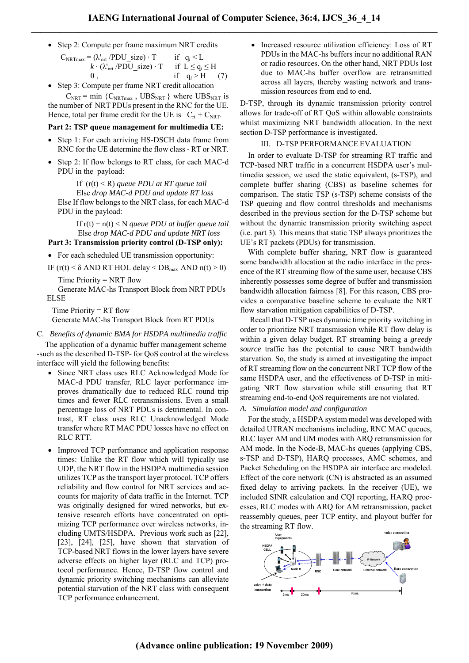• Step 2: Compute per frame maximum NRT credits

| $C_{\text{NRTmax}} = (\lambda'_{\text{int}} / \text{PDU}_\text{size}) \cdot T$ if $q_i < L$ |                  |
|---------------------------------------------------------------------------------------------|------------------|
| $k \cdot (\lambda'_{\rm nrt}/\rm{PDU} \text{ size}) \cdot T$ if $L \le q_i \le H$           |                  |
|                                                                                             | if $q_i > H$ (7) |

• Step 3: Compute per frame NRT credit allocation

 $C_{\text{NRT}}$  = min { $C_{\text{NRTmax}}$ , UBS<sub>NRT</sub>} where UBS<sub>NRT</sub> is the number of NRT PDUs present in the RNC for the UE. Hence, total per frame credit for the UE is  $C_{rt} + C_{NRT}$ .

#### **Part 2: TSP queue management for multimedia UE:**

- Step 1: For each arriving HS-DSCH data frame from RNC for the UE determine the flow class - RT or NRT.
- Step 2: If flow belongs to RT class, for each MAC-d PDU in the payload:

 If (r(t) < R) *queue PDU at RT queue tail* Else *drop MAC-d PDU and update RT loss* Else If flow belongs to the NRT class, for each MAC-d PDU in the payload:

 If r(t) + n(t) < N *queue PDU at buffer queue tail* Else *drop MAC-d PDU and update NRT loss* 

# **Part 3: Transmission priority control (D-TSP only):**

- For each scheduled UE transmission opportunity:
- IF  $(r(t) < \delta$  AND RT HOL delay  $\leq DB_{\text{max}}$  AND  $n(t) \geq 0$ )

Time Priority = NRT flow

 Generate MAC-hs Transport Block from NRT PDUs **ELSE** 

Time Priority  $= RT$  flow Generate MAC-hs Transport Block from RT PDUs

C. *Benefits of dynamic BMA for HSDPA multimedia traffic*

The application of a dynamic buffer management scheme -such as the described D-TSP- for QoS control at the wireless interface will yield the following benefits:

- Since NRT class uses RLC Acknowledged Mode for MAC-d PDU transfer, RLC layer performance improves dramatically due to reduced RLC round trip times and fewer RLC retransmissions. Even a small percentage loss of NRT PDUs is detrimental. In contrast, RT class uses RLC Unacknowledged Mode transfer where RT MAC PDU losses have no effect on RLC RTT.
- Improved TCP performance and application response times: Unlike the RT flow which will typically use UDP, the NRT flow in the HSDPA multimedia session utilizes TCP as the transport layer protocol. TCP offers reliability and flow control for NRT services and accounts for majority of data traffic in the Internet. TCP was originally designed for wired networks, but extensive research efforts have concentrated on optimizing TCP performance over wireless networks, including UMTS/HSDPA. Previous work such as [22], [23], [24], [25], have shown that starvation of TCP-based NRT flows in the lower layers have severe adverse effects on higher layer (RLC and TCP) protocol performance. Hence, D-TSP flow control and dynamic priority switching mechanisms can alleviate potential starvation of the NRT class with consequent TCP performance enhancement.

• Increased resource utilization efficiency: Loss of RT PDUs in the MAC-hs buffers incur no additional RAN or radio resources. On the other hand, NRT PDUs lost due to MAC-hs buffer overflow are retransmitted across all layers, thereby wasting network and transmission resources from end to end.

D-TSP, through its dynamic transmission priority control allows for trade-off of RT QoS within allowable constraints whilst maximizing NRT bandwidth allocation. In the next section D-TSP performance is investigated.

## III. D-TSP PERFORMANCE EVALUATION

In order to evaluate D-TSP for streaming RT traffic and TCP-based NRT traffic in a concurrent HSDPA user's multimedia session, we used the static equivalent, (s-TSP), and complete buffer sharing (CBS) as baseline schemes for comparison. The static TSP (s-TSP) scheme consists of the TSP queuing and flow control thresholds and mechanisms described in the previous section for the D-TSP scheme but without the dynamic transmission priority switching aspect (i.e. part 3). This means that static TSP always prioritizes the UE's RT packets (PDUs) for transmission.

With complete buffer sharing, NRT flow is guaranteed some bandwidth allocation at the radio interface in the presence of the RT streaming flow of the same user, because CBS inherently possesses some degree of buffer and transmission bandwidth allocation fairness [8]. For this reason, CBS provides a comparative baseline scheme to evaluate the NRT flow starvation mitigation capabilities of D-TSP.

 Recall that D-TSP uses dynamic time priority switching in order to prioritize NRT transmission while RT flow delay is within a given delay budget. RT streaming being a *greedy source* traffic has the potential to cause NRT bandwidth starvation. So, the study is aimed at investigating the impact of RT streaming flow on the concurrent NRT TCP flow of the same HSDPA user, and the effectiveness of D-TSP in mitigating NRT flow starvation while still ensuring that RT streaming end-to-end QoS requirements are not violated.

## *A. Simulation model and configuration*

For the study, a HSDPA system model was developed with detailed UTRAN mechanisms including, RNC MAC queues, RLC layer AM and UM modes with ARQ retransmission for AM mode. In the Node-B, MAC-hs queues (applying CBS, s-TSP and D-TSP), HARQ processes, AMC schemes, and Packet Scheduling on the HSDPA air interface are modeled. Effect of the core network (CN) is abstracted as an assumed fixed delay to arriving packets. In the receiver (UE), we included SINR calculation and CQI reporting, HARQ processes, RLC modes with ARQ for AM retransmission, packet reassembly queues, peer TCP entity, and playout buffer for the streaming RT flow.

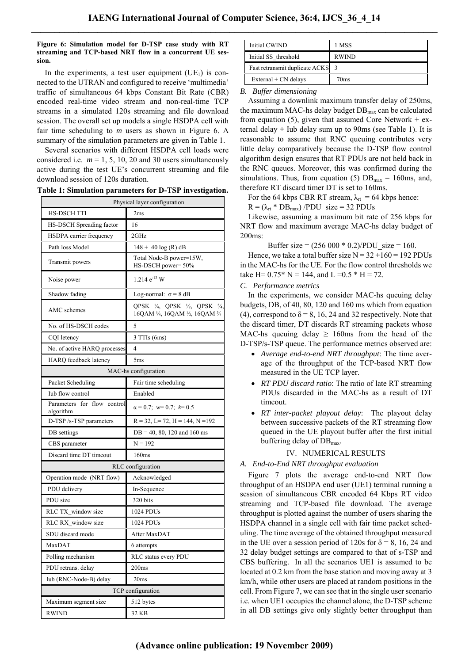## **Figure 6: Simulation model for D-TSP case study with RT streaming and TCP-based NRT flow in a concurrent UE session.**

In the experiments, a test user equipment  $(UE<sub>1</sub>)$  is connected to the UTRAN and configured to receive 'multimedia' traffic of simultaneous 64 kbps Constant Bit Rate (CBR) encoded real-time video stream and non-real-time TCP streams in a simulated 120s streaming and file download session. The overall set up models a single HSDPA cell with fair time scheduling to *m* users as shown in Figure 6. A summary of the simulation parameters are given in Table 1.

Several scenarios with different HSDPA cell loads were considered i.e.  $m = 1, 5, 10, 20$  and 30 users simultaneously active during the test UE's concurrent streaming and file download session of 120s duration.

| Table 1: Simulation parameters for D-TSP investigation. |  |  |  |  |  |  |  |
|---------------------------------------------------------|--|--|--|--|--|--|--|
|---------------------------------------------------------|--|--|--|--|--|--|--|

| Physical layer configuration             |                                                                                               |  |  |  |
|------------------------------------------|-----------------------------------------------------------------------------------------------|--|--|--|
| <b>HS-DSCH TTI</b>                       | 2ms                                                                                           |  |  |  |
| HS-DSCH Spreading factor                 | 16                                                                                            |  |  |  |
| HSDPA carrier frequency                  | 2GHz                                                                                          |  |  |  |
| Path loss Model                          | $148 + 40 \log(R)$ dB                                                                         |  |  |  |
| Transmit powers                          | Total Node-B power=15W,<br>HS-DSCH power=50%                                                  |  |  |  |
| Noise power                              | $1.214$ $e^{-13}$ W                                                                           |  |  |  |
| Shadow fading                            | Log-normal: $\sigma = 8$ dB                                                                   |  |  |  |
| AMC schemes                              | QPSK $\frac{1}{4}$ , QPSK $\frac{1}{2}$ , QPSK<br>$^{3/4}$<br>16QAM 1/4, 16QAM 1/2, 16QAM 3/4 |  |  |  |
| No. of HS-DSCH codes                     | 5                                                                                             |  |  |  |
| CQI letency                              | 3 TTIs (6ms)                                                                                  |  |  |  |
| No. of active HARQ processes             | 4                                                                                             |  |  |  |
| HARQ feedback latency                    | 5ms                                                                                           |  |  |  |
| MAC-hs configuration                     |                                                                                               |  |  |  |
| Packet Scheduling                        | Fair time scheduling                                                                          |  |  |  |
| <b>Iub</b> flow control                  | Enabled                                                                                       |  |  |  |
| Parameters for flow control<br>algorithm | $\alpha = 0.7$ ; $w=0.7$ ; $k=0.5$                                                            |  |  |  |
| D-TSP /s-TSP parameters                  | $R = 32$ , $L = 72$ , $H = 144$ , $N = 192$                                                   |  |  |  |
| DB settings                              | $DB = 40, 80, 120$ and 160 ms                                                                 |  |  |  |
| CBS parameter                            | $N = 192$                                                                                     |  |  |  |
| Discard time DT timeout                  | 160ms                                                                                         |  |  |  |
| RLC configuration                        |                                                                                               |  |  |  |
| Operation mode (NRT flow)                | Acknowledged                                                                                  |  |  |  |
| PDU delivery                             | In-Sequence                                                                                   |  |  |  |
| PDU size                                 | 320 bits                                                                                      |  |  |  |
| RLC TX window size                       | 1024 PDUs                                                                                     |  |  |  |
| RLC RX window size                       | 1024 PDUs                                                                                     |  |  |  |
| SDU discard mode                         | After MaxDAT                                                                                  |  |  |  |
| MaxDAT                                   | 6 attempts                                                                                    |  |  |  |
| Polling mechanism                        | RLC status every PDU                                                                          |  |  |  |
| PDU retrans. delay                       | 200ms                                                                                         |  |  |  |
| Iub (RNC-Node-B) delay                   | 20 <sub>ms</sub>                                                                              |  |  |  |
| TCP configuration                        |                                                                                               |  |  |  |
| Maximum segment size                     | 512 bytes                                                                                     |  |  |  |
| <b>RWIND</b>                             | 32 KB                                                                                         |  |  |  |

| Initial CWIND                  | 1 MSS        |
|--------------------------------|--------------|
| Initial SS threshold           | <b>RWIND</b> |
| Fast retransmit duplicate ACKS |              |
| $External + CN$ delays         | 70ms         |

#### *B. Buffer dimensioning*

Assuming a downlink maximum transfer delay of 250ms, the maximum MAC-hs delay budget  $DB<sub>max</sub>$  can be calculated from equation (5), given that assumed Core Network  $+$  external delay + Iub delay sum up to 90ms (see Table 1). It is reasonable to assume that RNC queuing contributes very little delay comparatively because the D-TSP flow control algorithm design ensures that RT PDUs are not held back in the RNC queues. Moreover, this was confirmed during the simulations. Thus, from equation (5)  $DB<sub>max</sub> = 160$ ms, and, therefore RT discard timer DT is set to 160ms.

For the 64 kbps CBR RT stream,  $\lambda_{rt} = 64$  kbps hence:

 $R = (\lambda_{rt} * DB_{max})$  /PDU\_size = 32 PDUs

Likewise, assuming a maximum bit rate of 256 kbps for NRT flow and maximum average MAC-hs delay budget of 200ms:

Buffer size =  $(256\,000 * 0.2)/PDU$  size = 160.

Hence, we take a total buffer size  $N = 32 + 160 = 192$  PDUs in the MAC-hs for the UE. For the flow control thresholds we take H=  $0.75*$  N = 144, and L =  $0.5*$  H = 72.

*C. Performance metrics* 

In the experiments, we consider MAC-hs queuing delay budgets, DB, of 40, 80, 120 and 160 ms which from equation (4), correspond to  $\delta$  = 8, 16, 24 and 32 respectively. Note that the discard timer, DT discards RT streaming packets whose MAC-hs queuing delay  $\geq 160$  ms from the head of the D-TSP/s-TSP queue. The performance metrics observed are:

- *Average end-to-end NRT throughput*: The time average of the throughput of the TCP-based NRT flow measured in the UE TCP layer.
- *RT PDU discard ratio*: The ratio of late RT streaming PDUs discarded in the MAC-hs as a result of DT timeout.
- *RT inter-packet playout delay*: The playout delay between successive packets of the RT streaming flow queued in the UE playout buffer after the first initial buffering delay of  $DB_{\text{max}}$ .

# IV. NUMERICAL RESULTS

## *A. End-to-End NRT throughput evaluation*

Figure 7 plots the average end-to-end NRT flow throughput of an HSDPA end user (UE1) terminal running a session of simultaneous CBR encoded 64 Kbps RT video streaming and TCP-based file download. The average throughput is plotted against the number of users sharing the HSDPA channel in a single cell with fair time packet scheduling. The time average of the obtained throughput measured in the UE over a session period of 120s for  $\delta = 8$ , 16, 24 and 32 delay budget settings are compared to that of s-TSP and CBS buffering. In all the scenarios UE1 is assumed to be located at 0.2 km from the base station and moving away at 3 km/h, while other users are placed at random positions in the cell. From Figure 7, we can see that in the single user scenario i.e. when UE1 occupies the channel alone, the D-TSP scheme in all DB settings give only slightly better throughput than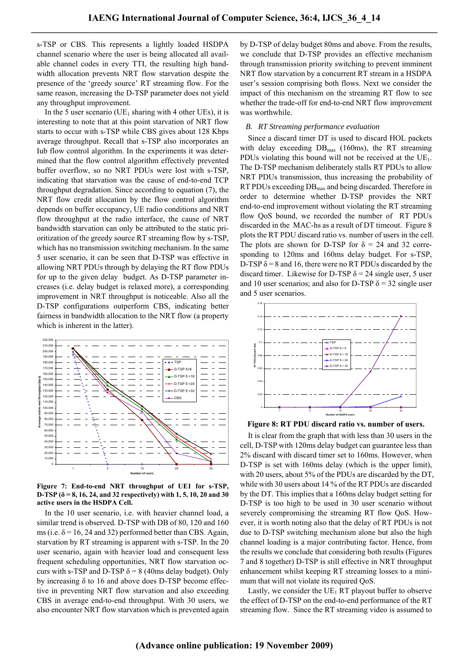s-TSP or CBS. This represents a lightly loaded HSDPA channel scenario where the user is being allocated all available channel codes in every TTI, the resulting high bandwidth allocation prevents NRT flow starvation despite the presence of the 'greedy source' RT streaming flow. For the same reason, increasing the D-TSP parameter does not yield any throughput improvement.

In the 5 user scenario (UE<sub>1</sub> sharing with 4 other UEs), it is interesting to note that at this point starvation of NRT flow starts to occur with s-TSP while CBS gives about 128 Kbps average throughput. Recall that s-TSP also incorporates an Iub flow control algorithm. In the experiments it was determined that the flow control algorithm effectively prevented buffer overflow, so no NRT PDUs were lost with s-TSP, indicating that starvation was the cause of end-to-end TCP throughput degradation. Since according to equation (7), the NRT flow credit allocation by the flow control algorithm depends on buffer occupancy, UE radio conditions and NRT flow throughput at the radio interface, the cause of NRT bandwidth starvation can only be attributed to the static prioritization of the greedy source RT streaming flow by s-TSP, which has no transmission switching mechanism. In the same 5 user scenario, it can be seen that D-TSP was effective in allowing NRT PDUs through by delaying the RT flow PDUs for up to the given delay budget. As D-TSP parameter increases (i.e. delay budget is relaxed more), a corresponding improvement in NRT throughput is noticeable. Also all the D-TSP configurations outperform CBS, indicating better fairness in bandwidth allocation to the NRT flow (a property which is inherent in the latter).



**Figure 7: End-to-end NRT throughput of UE1 for s-TSP, D-TSP (δ = 8, 16, 24, and 32 respectively) with 1, 5, 10, 20 and 30 active users in the HSDPA Cell.**

In the 10 user scenario, i.e. with heavier channel load, a similar trend is observed. D-TSP with DB of 80, 120 and 160 ms (i.e.  $\delta$  = 16, 24 and 32) performed better than CBS. Again, starvation by RT streaming is apparent with s-TSP. In the 20 user scenario, again with heavier load and consequent less frequent scheduling opportunities, NRT flow starvation occurs with s-TSP and D-TSP  $\delta$  = 8 (40ms delay budget). Only by increasing δ to 16 and above does D-TSP become effective in preventing NRT flow starvation and also exceeding CBS in average end-to-end throughput. With 30 users, we also encounter NRT flow starvation which is prevented again by D-TSP of delay budget 80ms and above. From the results, we conclude that D-TSP provides an effective mechanism through transmission priority switching to prevent imminent NRT flow starvation by a concurrent RT stream in a HSDPA user's session comprising both flows. Next we consider the impact of this mechanism on the streaming RT flow to see whether the trade-off for end-to-end NRT flow improvement was worthwhile.

### *B. RT Streaming performance evaluation*

Since a discard timer DT is used to discard HOL packets with delay exceeding  $DB<sub>max</sub>$  (160ms), the RT streaming PDUs violating this bound will not be received at the  $UE<sub>1</sub>$ . The D-TSP mechanism deliberately stalls RT PDUs to allow NRT PDUs transmission, thus increasing the probability of RT PDUs exceeding  $DB<sub>max</sub>$  and being discarded. Therefore in order to determine whether D-TSP provides the NRT end-to-end improvement without violating the RT streaming flow QoS bound, we recorded the number of RT PDUs discarded in the MAC-hs as a result of DT timeout. Figure 8 plots the RT PDU discard ratio vs. number of users in the cell. The plots are shown for D-TSP for  $\delta = 24$  and 32 corresponding to 120ms and 160ms delay budget. For s-TSP, D-TSP  $\delta$  = 8 and 16, there were no RT PDUs discarded by the discard timer. Likewise for D-TSP  $\delta$  = 24 single user, 5 user and 10 user scenarios; and also for D-TSP  $\delta$  = 32 single user and 5 user scenarios.



**Figure 8: RT PDU discard ratio vs. number of users.** 

It is clear from the graph that with less than 30 users in the cell, D-TSP with 120ms delay budget can guarantee less than 2% discard with discard timer set to 160ms. However, when D-TSP is set with 160ms delay (which is the upper limit), with 20 users, about 5% of the PDUs are discarded by the DT, while with 30 users about 14 % of the RT PDUs are discarded by the DT. This implies that a 160ms delay budget setting for D-TSP is too high to be used in 30 user scenario without severely compromising the streaming RT flow QoS. However, it is worth noting also that the delay of RT PDUs is not due to D-TSP switching mechanism alone but also the high channel loading is a major contributing factor. Hence, from the results we conclude that considering both results (Figures 7 and 8 together) D-TSP is still effective in NRT throughput enhancement whilst keeping RT streaming losses to a minimum that will not violate its required QoS.

Lastly, we consider the  $UE<sub>1</sub> RT$  playout buffer to observe the effect of D-TSP on the end-to-end performance of the RT streaming flow. Since the RT streaming video is assumed to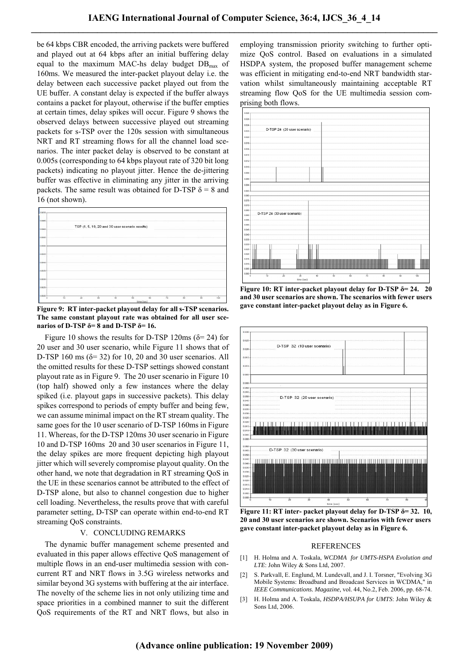be 64 kbps CBR encoded, the arriving packets were buffered and played out at 64 kbps after an initial buffering delay equal to the maximum MAC-hs delay budget  $DB<sub>max</sub>$  of 160ms. We measured the inter-packet playout delay i.e. the delay between each successive packet played out from the UE buffer. A constant delay is expected if the buffer always contains a packet for playout, otherwise if the buffer empties at certain times, delay spikes will occur. Figure 9 shows the observed delays between successive played out streaming packets for s-TSP over the 120s session with simultaneous NRT and RT streaming flows for all the channel load scenarios. The inter packet delay is observed to be constant at 0.005s (corresponding to 64 kbps playout rate of 320 bit long packets) indicating no playout jitter. Hence the de-jittering buffer was effective in eliminating any jitter in the arriving packets. The same result was obtained for D-TSP  $\delta = 8$  and 16 (not shown).



**Figure 9: RT inter-packet playout delay for all s-TSP scenarios. The same constant playout rate was obtained for all user scenarios of D-TSP δ= 8 and D-TSP δ= 16.** 

Figure 10 shows the results for D-TSP 120ms ( $\delta$ = 24) for 20 user and 30 user scenario, while Figure 11 shows that of D-TSP 160 ms  $(\delta = 32)$  for 10, 20 and 30 user scenarios. All the omitted results for these D-TSP settings showed constant playout rate as in Figure 9. The 20 user scenario in Figure 10 (top half) showed only a few instances where the delay spiked (i.e. playout gaps in successive packets). This delay spikes correspond to periods of empty buffer and being few, we can assume minimal impact on the RT stream quality. The same goes for the 10 user scenario of D-TSP 160ms in Figure 11. Whereas, for the D-TSP 120ms 30 user scenario in Figure 10 and D-TSP 160ms 20 and 30 user scenarios in Figure 11, the delay spikes are more frequent depicting high playout jitter which will severely compromise playout quality. On the other hand, we note that degradation in RT streaming QoS in the UE in these scenarios cannot be attributed to the effect of D-TSP alone, but also to channel congestion due to higher cell loading. Nevertheless, the results prove that with careful parameter setting, D-TSP can operate within end-to-end RT streaming QoS constraints.

### V. CONCLUDING REMARKS

The dynamic buffer management scheme presented and evaluated in this paper allows effective QoS management of multiple flows in an end-user multimedia session with concurrent RT and NRT flows in 3.5G wireless networks and similar beyond 3G systems with buffering at the air interface. The novelty of the scheme lies in not only utilizing time and space priorities in a combined manner to suit the different QoS requirements of the RT and NRT flows, but also in employing transmission priority switching to further optimize QoS control. Based on evaluations in a simulated HSDPA system, the proposed buffer management scheme was efficient in mitigating end-to-end NRT bandwidth starvation whilst simultaneously maintaining acceptable RT streaming flow QoS for the UE multimedia session comprising both flows.



**Figure 10: RT inter-packet playout delay for D-TSP δ= 24. 20 and 30 user scenarios are shown. The scenarios with fewer users gave constant inter-packet playout delay as in Figure 6.** 



 **Figure 11: RT inter- packet playout delay for D-TSP δ= 32. 10, 20 and 30 user scenarios are shown. Scenarios with fewer users gave constant inter-packet playout delay as in Figure 6.**

### REFERENCES

- [1] H. Holma and A. Toskala, *WCDMA for UMTS-HSPA Evolution and LTE*: John Wiley & Sons Ltd, 2007.
- [2] S. Parkvall, E. Englund, M. Lundevall, and J. I. Torsner, "Evolving 3G Mobile Systems: Broadband and Broadcast Services in WCDMA," in *IEEE Communications. Magazine*, vol. 44, No.2, Feb. 2006, pp. 68-74.
- [3] H. Holma and A. Toskala, *HSDPA/HSUPA for UMTS*: John Wiley & Sons Ltd, 2006.